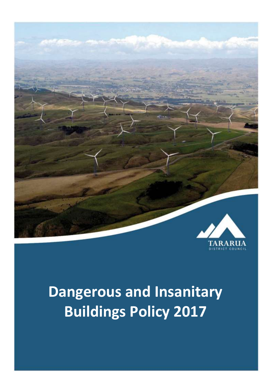

# **Dangerous and Insanitary Buildings Policy 2017**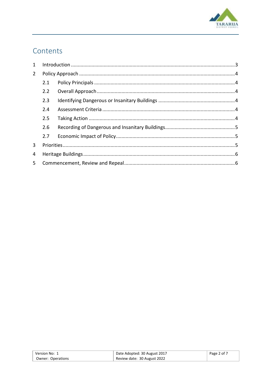

# Contents

| $\mathbf{1}$   |     |  |  |
|----------------|-----|--|--|
| $\overline{2}$ |     |  |  |
|                | 2.1 |  |  |
|                | 2.2 |  |  |
|                | 2.3 |  |  |
|                | 2.4 |  |  |
|                | 2.5 |  |  |
|                | 2.6 |  |  |
|                | 2.7 |  |  |
| $\mathbf{3}$   |     |  |  |
| 4              |     |  |  |
| 5 <sup>1</sup> |     |  |  |

| ้ Version No: 1   | Date Adopted: 30 August 2017 | Page 2 of 7 |
|-------------------|------------------------------|-------------|
| Owner: Operations | Review date: 30 August 2022  |             |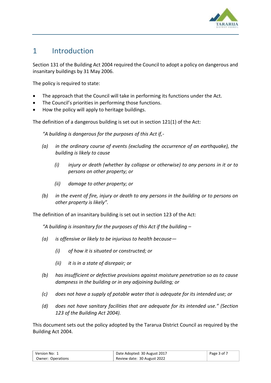

## <span id="page-2-0"></span>1 Introduction

Section 131 of the Building Act 2004 required the Council to adopt a policy on dangerous and insanitary buildings by 31 May 2006.

The policy is required to state:

- The approach that the Council will take in performing its functions under the Act.
- The Council's priorities in performing those functions.
- How the policy will apply to heritage buildings.

The definition of a dangerous building is set out in section 121(1) of the Act:

*"A building is dangerous for the purposes of this Act if,-*

- *(a) in the ordinary course of events (excluding the occurrence of an earthquake), the building is likely to cause*
	- *(i) injury or death (whether by collapse or otherwise) to any persons in it or to persons on other property; or*
	- *(ii) damage to other property; or*
- *(b) in the event of fire, injury or death to any persons in the building or to persons on other property is likely".*

The definition of an insanitary building is set out in section 123 of the Act:

*"A building is insanitary for the purposes of this Act if the building –*

- *(a) is offensive or likely to be injurious to health because—*
	- *(i) of how it is situated or constructed; or*
	- *(ii) it is in a state of disrepair; or*
- *(b) has insufficient or defective provisions against moisture penetration so as to cause dampness in the building or in any adjoining building; or*
- *(c) does not have a supply of potable water that is adequate for its intended use; or*
- *(d) does not have sanitary facilities that are adequate for its intended use." (Section 123 of the Building Act 2004).*

This document sets out the policy adopted by the Tararua District Council as required by the Building Act 2004.

| Version No: 1     | Date Adopted: 30 August 2017 | Page 3 of 7 |
|-------------------|------------------------------|-------------|
| Owner: Operations | Review date: 30 August 2022  |             |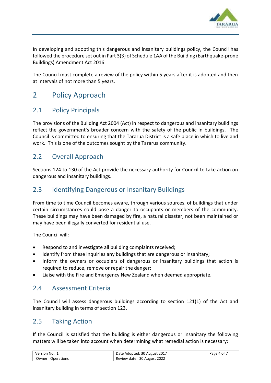

In developing and adopting this dangerous and insanitary buildings policy, the Council has followed the procedure set out in Part 3(3) of Schedule 1AA of the Building (Earthquake-prone Buildings) Amendment Act 2016.

The Council must complete a review of the policy within 5 years after it is adopted and then at intervals of not more than 5 years.

# <span id="page-3-0"></span>2 Policy Approach

#### <span id="page-3-1"></span>2.1 Policy Principals

The provisions of the Building Act 2004 (Act) in respect to dangerous and insanitary buildings reflect the government's broader concern with the safety of the public in buildings. The Council is committed to ensuring that the Tararua District is a safe place in which to live and work. This is one of the outcomes sought by the Tararua community.

#### <span id="page-3-2"></span>2.2 Overall Approach

Sections 124 to 130 of the Act provide the necessary authority for Council to take action on dangerous and insanitary buildings.

#### <span id="page-3-3"></span>2.3 Identifying Dangerous or Insanitary Buildings

From time to time Council becomes aware, through various sources, of buildings that under certain circumstances could pose a danger to occupants or members of the community. These buildings may have been damaged by fire, a natural disaster, not been maintained or may have been illegally converted for residential use.

The Council will:

- Respond to and investigate all building complaints received;
- Identify from these inquiries any buildings that are dangerous or insanitary;
- Inform the owners or occupiers of dangerous or insanitary buildings that action is required to reduce, remove or repair the danger;
- Liaise with the Fire and Emergency New Zealand when deemed appropriate.

#### <span id="page-3-4"></span>2.4 Assessment Criteria

The Council will assess dangerous buildings according to section 121(1) of the Act and insanitary building in terms of section 123.

#### <span id="page-3-5"></span>2.5 Taking Action

If the Council is satisfied that the building is either dangerous or insanitary the following matters will be taken into account when determining what remedial action is necessary:

| Version No: 1     | Date Adopted: 30 August 2017 | Page 4 of 7 |
|-------------------|------------------------------|-------------|
| Owner: Operations | Review date: 30 August 2022  |             |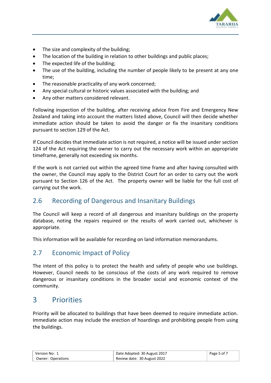

- The size and complexity of the building;
- The location of the building in relation to other buildings and public places;
- The expected life of the building;
- The use of the building, including the number of people likely to be present at any one time;
- The reasonable practicality of any work concerned;
- Any special cultural or historic values associated with the building; and
- Any other matters considered relevant.

Following inspection of the building, after receiving advice from Fire and Emergency New Zealand and taking into account the matters listed above, Council will then decide whether immediate action should be taken to avoid the danger or fix the insanitary conditions pursuant to section 129 of the Act.

If Council decides that immediate action is not required, a notice will be issued under section 124 of the Act requiring the owner to carry out the necessary work within an appropriate timeframe, generally not exceeding six months.

If the work is not carried out within the agreed time frame and after having consulted with the owner, the Council may apply to the District Court for an order to carry out the work pursuant to Section 126 of the Act. The property owner will be liable for the full cost of carrying out the work.

## <span id="page-4-0"></span>2.6 Recording of Dangerous and Insanitary Buildings

The Council will keep a record of all dangerous and insanitary buildings on the property database, noting the repairs required or the results of work carried out, whichever is appropriate.

This information will be available for recording on land information memorandums.

## <span id="page-4-1"></span>2.7 Economic Impact of Policy

The intent of this policy is to protect the health and safety of people who use buildings. However, Council needs to be conscious of the costs of any work required to remove dangerous or insanitary conditions in the broader social and economic context of the community.

# <span id="page-4-2"></span>3 Priorities

Priority will be allocated to buildings that have been deemed to require immediate action. Immediate action may include the erection of hoardings and prohibiting people from using the buildings.

| Version No: 1     | Date Adopted: 30 August 2017 | Page 5 of 7 |
|-------------------|------------------------------|-------------|
| Owner: Operations | Review date: 30 August 2022  |             |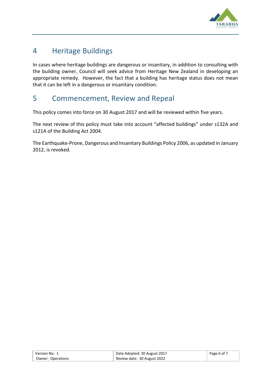

# <span id="page-5-0"></span>4 Heritage Buildings

In cases where heritage buildings are dangerous or insanitary, in addition to consulting with the building owner, Council will seek advice from Heritage New Zealand in developing an appropriate remedy. However, the fact that a building has heritage status does not mean that it can be left in a dangerous or insanitary condition.

# <span id="page-5-1"></span>5 Commencement, Review and Repeal

This policy comes into force on 30 August 2017 and will be reviewed within five years.

The next review of this policy must take into account "affected buildings" under s132A and s121A of the Building Act 2004.

The Earthquake-Prone, Dangerous and Insanitary Buildings Policy 2006, as updated in January 2012, is revoked.

| Version No: 1     | Date Adopted: 30 August 2017 | Page 6 of 7 |
|-------------------|------------------------------|-------------|
| Owner: Operations | Review date: 30 August 2022  |             |